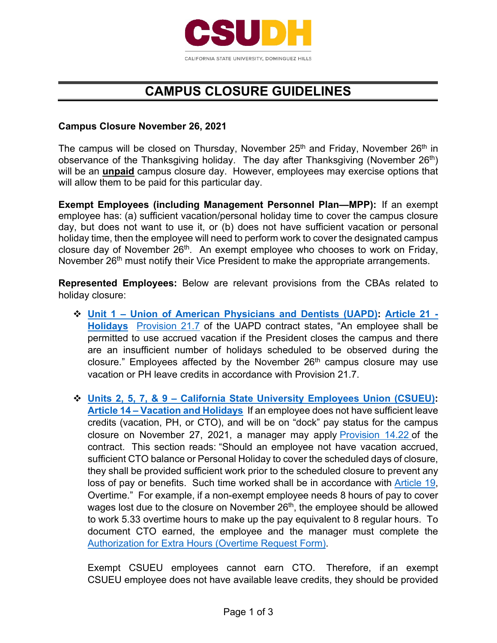

## **CAMPUS CLOSURE GUIDELINES**

## **Campus Closure November 26, 2021**

The campus will be closed on Thursday, November  $25<sup>th</sup>$  and Friday, November  $26<sup>th</sup>$  in observance of the Thanksgiving holiday. The day after Thanksgiving (November 26<sup>th</sup>) will be an **unpaid** campus closure day. However, employees may exercise options that will allow them to be paid for this particular day.

**Exempt Employees (including Management Personnel Plan—MPP):** If an exempt employee has: (a) sufficient vacation/personal holiday time to cover the campus closure day, but does not want to use it, or (b) does not have sufficient vacation or personal holiday time, then the employee will need to perform work to cover the designated campus closure day of November 26<sup>th</sup>. An exempt employee who chooses to work on Friday, November 26<sup>th</sup> must notify their Vice President to make the appropriate arrangements.

**Represented Employees:** Below are relevant provisions from the CBAs related to holiday closure:

- **Unit 1 Union of American Physicians and Dentists (UAPD): Article 21 Holidays** Provision 21.7 of the UAPD contract states, "An employee shall be permitted to use accrued vacation if the President closes the campus and there are an insufficient number of holidays scheduled to be observed during the closure." Employees affected by the November  $26<sup>th</sup>$  campus closure may use vacation or PH leave credits in accordance with Provision 21.7.
- **Units 2, 5, 7, & 9 California State University Employees Union (CSUEU): Article 14 – Vacation and Holidays** If an employee does not have sufficient leave credits (vacation, PH, or CTO), and will be on "dock" pay status for the campus closure on November 27, 2021, a manager may apply Provision 14.22 of the contract. This section reads: "Should an employee not have vacation accrued, sufficient CTO balance or Personal Holiday to cover the scheduled days of closure, they shall be provided sufficient work prior to the scheduled closure to prevent any loss of pay or benefits. Such time worked shall be in accordance with Article 19, Overtime." For example, if a non-exempt employee needs 8 hours of pay to cover wages lost due to the closure on November 26<sup>th</sup>, the employee should be allowed to work 5.33 overtime hours to make up the pay equivalent to 8 regular hours. To document CTO earned, the employee and the manager must complete the Authorization for Extra Hours (Overtime Request Form).

Exempt CSUEU employees cannot earn CTO. Therefore, if an exempt CSUEU employee does not have available leave credits, they should be provided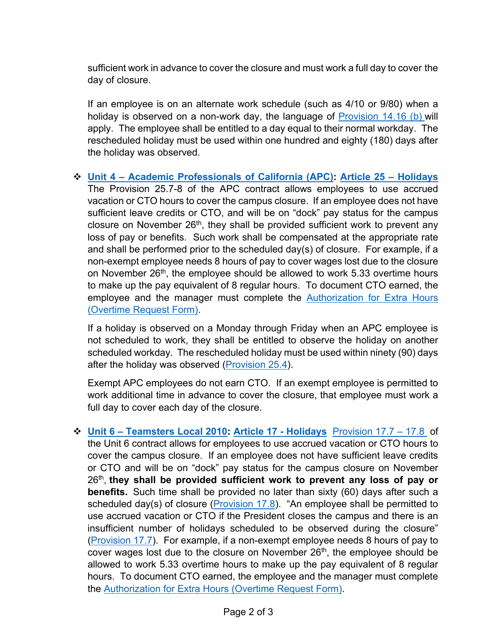sufficient work in advance to cover the closure and must work a full day to cover the day of closure.

If an employee is on an alternate work schedule (such as 4/10 or 9/80) when a holiday is observed on a non-work day, the language of Provision 14.16 (b) will apply. The employee shall be entitled to a day equal to their normal workday. The rescheduled holiday must be used within one hundred and eighty (180) days after the holiday was observed.

 **Unit 4 – Academic Professionals of California (APC): Article 25 – Holidays**  The Provision 25.7-8 of the APC contract allows employees to use accrued vacation or CTO hours to cover the campus closure. If an employee does not have sufficient leave credits or CTO, and will be on "dock" pay status for the campus closure on November 26<sup>th</sup>, they shall be provided sufficient work to prevent any loss of pay or benefits. Such work shall be compensated at the appropriate rate and shall be performed prior to the scheduled day(s) of closure. For example, if a non-exempt employee needs 8 hours of pay to cover wages lost due to the closure on November  $26<sup>th</sup>$ , the employee should be allowed to work 5.33 overtime hours to make up the pay equivalent of 8 regular hours. To document CTO earned, the employee and the manager must complete the Authorization for Extra Hours (Overtime Request Form).

If a holiday is observed on a Monday through Friday when an APC employee is not scheduled to work, they shall be entitled to observe the holiday on another scheduled workday. The rescheduled holiday must be used within ninety (90) days after the holiday was observed (Provision 25.4).

Exempt APC employees do not earn CTO. If an exempt employee is permitted to work additional time in advance to cover the closure, that employee must work a full day to cover each day of the closure.

 **Unit 6 – Teamsters Local 2010: Article 17 - Holidays** Provision 17.7 – 17.8 of the Unit 6 contract allows for employees to use accrued vacation or CTO hours to cover the campus closure. If an employee does not have sufficient leave credits or CTO and will be on "dock" pay status for the campus closure on November 26th, **they shall be provided sufficient work to prevent any loss of pay or benefits.** Such time shall be provided no later than sixty (60) days after such a scheduled day(s) of closure (Provision  $17.8$ ). "An employee shall be permitted to use accrued vacation or CTO if the President closes the campus and there is an insufficient number of holidays scheduled to be observed during the closure" (Provision 17.7). For example, if a non-exempt employee needs 8 hours of pay to cover wages lost due to the closure on November  $26<sup>th</sup>$ , the employee should be allowed to work 5.33 overtime hours to make up the pay equivalent of 8 regular hours. To document CTO earned, the employee and the manager must complete the Authorization for Extra Hours (Overtime Request Form).